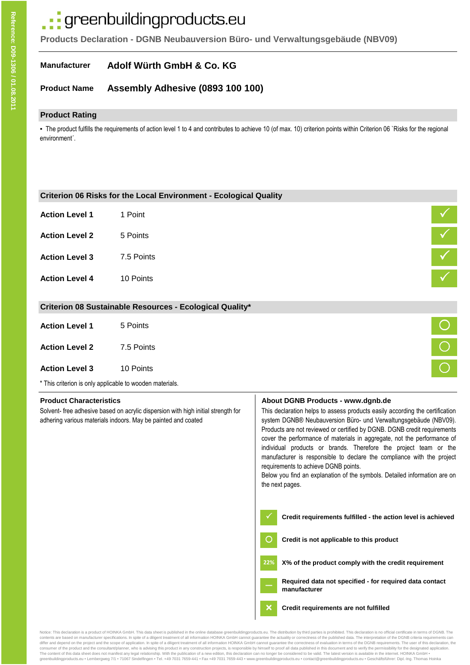# ·· greenbuildingproducts.eu

**Products Declaration - DGNB Neubauversion Büro- und Verwaltungsgebäude (NBV09)**

#### **Manufacturer Adolf Würth GmbH & Co. KG**

#### **Product Name Assembly Adhesive (0893 100 100)**

## **Product Rating**

▪ The product fulfills the requirements of action level 1 to 4 and contributes to achieve 10 (of max. 10) criterion points within Criterion 06 `Risks for the regional environment´.

|                                                                                                                                                                                      | Criterion 06 Risks for the Local Environment - Ecological Quality |                                                                                                                                                                                                                                                                                                                                                                                                                                                                                                                                                                                                                                                                                                                                                                                                                                                                                          |
|--------------------------------------------------------------------------------------------------------------------------------------------------------------------------------------|-------------------------------------------------------------------|------------------------------------------------------------------------------------------------------------------------------------------------------------------------------------------------------------------------------------------------------------------------------------------------------------------------------------------------------------------------------------------------------------------------------------------------------------------------------------------------------------------------------------------------------------------------------------------------------------------------------------------------------------------------------------------------------------------------------------------------------------------------------------------------------------------------------------------------------------------------------------------|
| <b>Action Level 1</b>                                                                                                                                                                | 1 Point                                                           |                                                                                                                                                                                                                                                                                                                                                                                                                                                                                                                                                                                                                                                                                                                                                                                                                                                                                          |
| <b>Action Level 2</b>                                                                                                                                                                | 5 Points                                                          |                                                                                                                                                                                                                                                                                                                                                                                                                                                                                                                                                                                                                                                                                                                                                                                                                                                                                          |
| <b>Action Level 3</b>                                                                                                                                                                | 7.5 Points                                                        | $\begin{array}{c c c}\n\hline\n\swarrow\end{array}$                                                                                                                                                                                                                                                                                                                                                                                                                                                                                                                                                                                                                                                                                                                                                                                                                                      |
| <b>Action Level 4</b>                                                                                                                                                                | 10 Points                                                         |                                                                                                                                                                                                                                                                                                                                                                                                                                                                                                                                                                                                                                                                                                                                                                                                                                                                                          |
|                                                                                                                                                                                      | Criterion 08 Sustainable Resources - Ecological Quality*          |                                                                                                                                                                                                                                                                                                                                                                                                                                                                                                                                                                                                                                                                                                                                                                                                                                                                                          |
| <b>Action Level 1</b>                                                                                                                                                                | 5 Points                                                          |                                                                                                                                                                                                                                                                                                                                                                                                                                                                                                                                                                                                                                                                                                                                                                                                                                                                                          |
| <b>Action Level 2</b>                                                                                                                                                                | 7.5 Points                                                        | $\frac{1}{\sqrt{1-\frac{1}{2}}\sqrt{1-\frac{1}{2}}\left(\frac{1}{2}-\frac{1}{2}\right)}$                                                                                                                                                                                                                                                                                                                                                                                                                                                                                                                                                                                                                                                                                                                                                                                                 |
| <b>Action Level 3</b>                                                                                                                                                                | 10 Points                                                         |                                                                                                                                                                                                                                                                                                                                                                                                                                                                                                                                                                                                                                                                                                                                                                                                                                                                                          |
|                                                                                                                                                                                      | * This criterion is only applicable to wooden materials.          |                                                                                                                                                                                                                                                                                                                                                                                                                                                                                                                                                                                                                                                                                                                                                                                                                                                                                          |
| <b>Product Characteristics</b><br>Solvent- free adhesive based on acrylic dispersion with high initial strength for<br>adhering various materials indoors. May be painted and coated |                                                                   | About DGNB Products - www.dgnb.de<br>This declaration helps to assess products easily according the certification<br>system DGNB® Neubauversion Büro- und Verwaltungsgebäude (NBV09).<br>Products are not reviewed or certified by DGNB. DGNB credit requirements<br>cover the performance of materials in aggregate, not the performance of<br>individual products or brands. Therefore the project team or the<br>manufacturer is responsible to declare the compliance with the project<br>requirements to achieve DGNB points.<br>Below you find an explanation of the symbols. Detailed information are on<br>the next pages.<br>Credit requirements fulfilled - the action level is achieved<br>Credit is not applicable to this product<br>X% of the product comply with the credit requirement<br>22%<br>Required data not specified - for required data contact<br>manufacturer |
|                                                                                                                                                                                      |                                                                   |                                                                                                                                                                                                                                                                                                                                                                                                                                                                                                                                                                                                                                                                                                                                                                                                                                                                                          |

contents are based on manufacturer specifications. In spite of a diligent treatment of all information HOINKA GmbH cannot guarantee the actuality or correctness of the published data. The interpretation of the DGNB criteri consumer of the product and the consultant/planner, who is advising this product in any construction projects, is responsible by himself to proof all data published in this document and to verify the permissibility for th